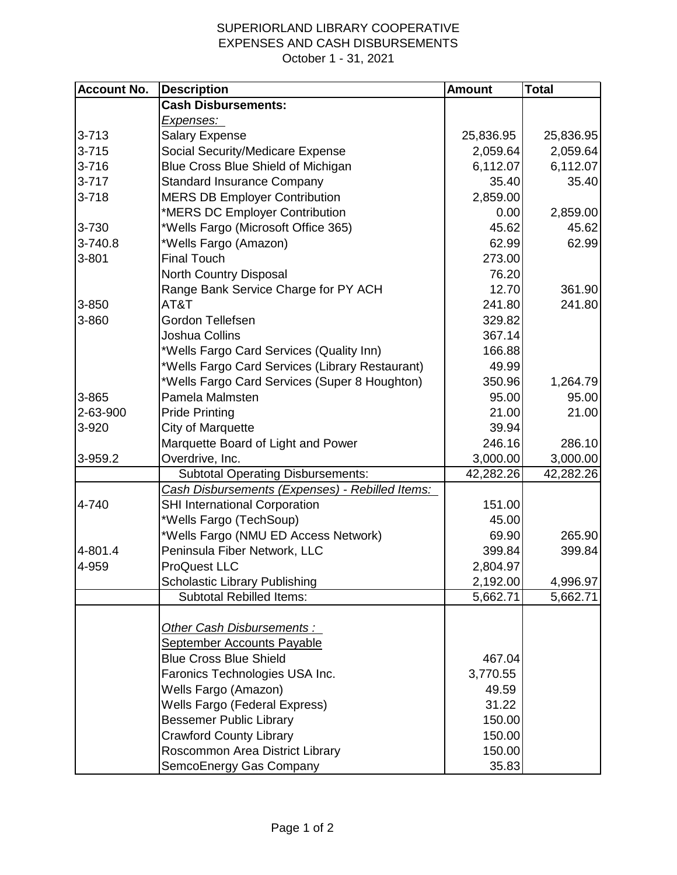## SUPERIORLAND LIBRARY COOPERATIVE EXPENSES AND CASH DISBURSEMENTS October 1 - 31, 2021

| <b>Account No.</b> | <b>Description</b>                              | <b>Amount</b> | <b>Total</b> |
|--------------------|-------------------------------------------------|---------------|--------------|
|                    | <b>Cash Disbursements:</b>                      |               |              |
|                    | <u>Expenses: </u>                               |               |              |
| $3 - 713$          | <b>Salary Expense</b>                           | 25,836.95     | 25,836.95    |
| $3 - 715$          | Social Security/Medicare Expense                | 2,059.64      | 2,059.64     |
| $3 - 716$          | Blue Cross Blue Shield of Michigan              | 6,112.07      | 6,112.07     |
| $3 - 717$          | <b>Standard Insurance Company</b>               | 35.40         | 35.40        |
| $3 - 718$          | <b>MERS DB Employer Contribution</b>            | 2,859.00      |              |
|                    | *MERS DC Employer Contribution                  | 0.00          | 2,859.00     |
| 3-730              | *Wells Fargo (Microsoft Office 365)             | 45.62         | 45.62        |
| 3-740.8            | *Wells Fargo (Amazon)                           | 62.99         | 62.99        |
| 3-801              | <b>Final Touch</b>                              | 273.00        |              |
|                    | North Country Disposal                          | 76.20         |              |
|                    | Range Bank Service Charge for PY ACH            | 12.70         | 361.90       |
| 3-850              | AT&T                                            | 241.80        | 241.80       |
| 3-860              | Gordon Tellefsen                                | 329.82        |              |
|                    | Joshua Collins                                  | 367.14        |              |
|                    | *Wells Fargo Card Services (Quality Inn)        | 166.88        |              |
|                    | *Wells Fargo Card Services (Library Restaurant) | 49.99         |              |
|                    | *Wells Fargo Card Services (Super 8 Houghton)   | 350.96        | 1,264.79     |
| 3-865              | Pamela Malmsten                                 | 95.00         | 95.00        |
| 2-63-900           | <b>Pride Printing</b>                           | 21.00         | 21.00        |
| 3-920              | <b>City of Marquette</b>                        | 39.94         |              |
|                    | Marquette Board of Light and Power              | 246.16        | 286.10       |
| 3-959.2            | Overdrive, Inc.                                 | 3,000.00      | 3,000.00     |
|                    | <b>Subtotal Operating Disbursements:</b>        | 42,282.26     | 42,282.26    |
|                    | Cash Disbursements (Expenses) - Rebilled Items: |               |              |
| 4-740              | <b>SHI International Corporation</b>            | 151.00        |              |
|                    | *Wells Fargo (TechSoup)                         | 45.00         |              |
|                    | *Wells Fargo (NMU ED Access Network)            | 69.90         | 265.90       |
| 4-801.4            | Peninsula Fiber Network, LLC                    | 399.84        | 399.84       |
| 4-959              | <b>ProQuest LLC</b>                             | 2,804.97      |              |
|                    | <b>Scholastic Library Publishing</b>            | 2,192.00      | 4,996.97     |
|                    | <b>Subtotal Rebilled Items:</b>                 | 5,662.71      | 5,662.71     |
|                    |                                                 |               |              |
|                    | <b>Other Cash Disbursements:</b>                |               |              |
|                    | <b>September Accounts Payable</b>               |               |              |
|                    | <b>Blue Cross Blue Shield</b>                   | 467.04        |              |
|                    | Faronics Technologies USA Inc.                  | 3,770.55      |              |
|                    | Wells Fargo (Amazon)                            | 49.59         |              |
|                    | <b>Wells Fargo (Federal Express)</b>            | 31.22         |              |
|                    | <b>Bessemer Public Library</b>                  | 150.00        |              |
|                    | <b>Crawford County Library</b>                  | 150.00        |              |
|                    | Roscommon Area District Library                 | 150.00        |              |
|                    | SemcoEnergy Gas Company                         | 35.83         |              |